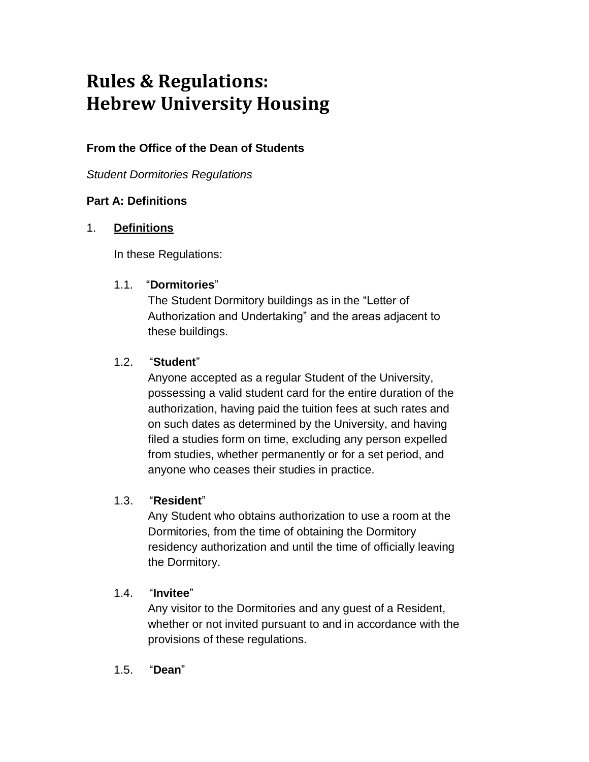# **Rules & Regulations: Hebrew University Housing**

# **From the Office of the Dean of Students**

*Student Dormitories Regulations*

## **Part A: Definitions**

## 1. **Definitions**

In these Regulations:

## 1.1. "**Dormitories**"

The Student Dormitory buildings as in the "Letter of Authorization and Undertaking" and the areas adjacent to these buildings.

## 1.2. "**Student**"

Anyone accepted as a regular Student of the University, possessing a valid student card for the entire duration of the authorization, having paid the tuition fees at such rates and on such dates as determined by the University, and having filed a studies form on time, excluding any person expelled from studies, whether permanently or for a set period, and anyone who ceases their studies in practice.

## 1.3. "**Resident**"

Any Student who obtains authorization to use a room at the Dormitories, from the time of obtaining the Dormitory residency authorization and until the time of officially leaving the Dormitory.

## 1.4. "**Invitee**"

Any visitor to the Dormitories and any guest of a Resident, whether or not invited pursuant to and in accordance with the provisions of these regulations.

#### 1.5. "**Dean**"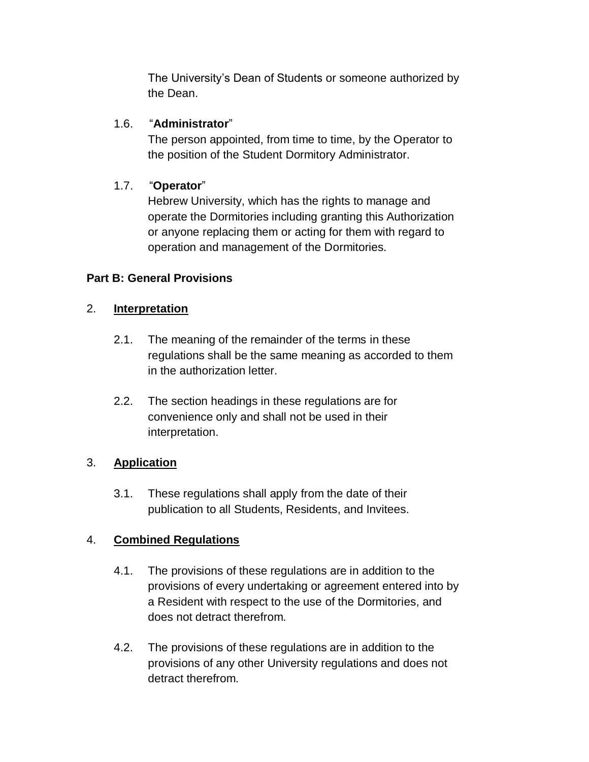The University's Dean of Students or someone authorized by the Dean.

## 1.6. "**Administrator**"

The person appointed, from time to time, by the Operator to the position of the Student Dormitory Administrator.

# 1.7. "**Operator**"

Hebrew University, which has the rights to manage and operate the Dormitories including granting this Authorization or anyone replacing them or acting for them with regard to operation and management of the Dormitories.

## **Part B: General Provisions**

## 2. **Interpretation**

- 2.1. The meaning of the remainder of the terms in these regulations shall be the same meaning as accorded to them in the authorization letter.
- 2.2. The section headings in these regulations are for convenience only and shall not be used in their interpretation.

# 3. **Application**

3.1. These regulations shall apply from the date of their publication to all Students, Residents, and Invitees.

# 4. **Combined Regulations**

- 4.1. The provisions of these regulations are in addition to the provisions of every undertaking or agreement entered into by a Resident with respect to the use of the Dormitories, and does not detract therefrom.
- 4.2. The provisions of these regulations are in addition to the provisions of any other University regulations and does not detract therefrom.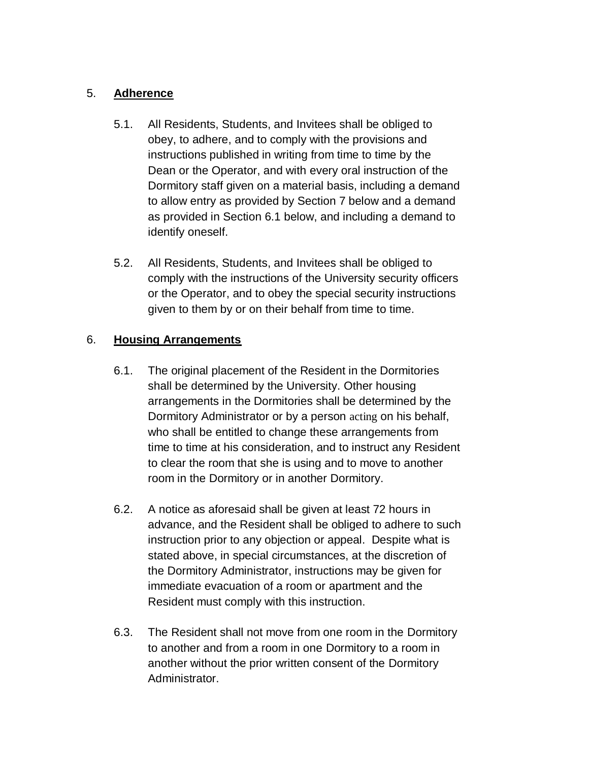## 5. **Adherence**

- 5.1. All Residents, Students, and Invitees shall be obliged to obey, to adhere, and to comply with the provisions and instructions published in writing from time to time by the Dean or the Operator, and with every oral instruction of the Dormitory staff given on a material basis, including a demand to allow entry as provided by Section 7 below and a demand as provided in Section 6.1 below, and including a demand to identify oneself.
- 5.2. All Residents, Students, and Invitees shall be obliged to comply with the instructions of the University security officers or the Operator, and to obey the special security instructions given to them by or on their behalf from time to time.

## 6. **Housing Arrangements**

- 6.1. The original placement of the Resident in the Dormitories shall be determined by the University. Other housing arrangements in the Dormitories shall be determined by the Dormitory Administrator or by a person acting on his behalf, who shall be entitled to change these arrangements from time to time at his consideration, and to instruct any Resident to clear the room that she is using and to move to another room in the Dormitory or in another Dormitory.
- 6.2. A notice as aforesaid shall be given at least 72 hours in advance, and the Resident shall be obliged to adhere to such instruction prior to any objection or appeal. Despite what is stated above, in special circumstances, at the discretion of the Dormitory Administrator, instructions may be given for immediate evacuation of a room or apartment and the Resident must comply with this instruction.
- 6.3. The Resident shall not move from one room in the Dormitory to another and from a room in one Dormitory to a room in another without the prior written consent of the Dormitory Administrator.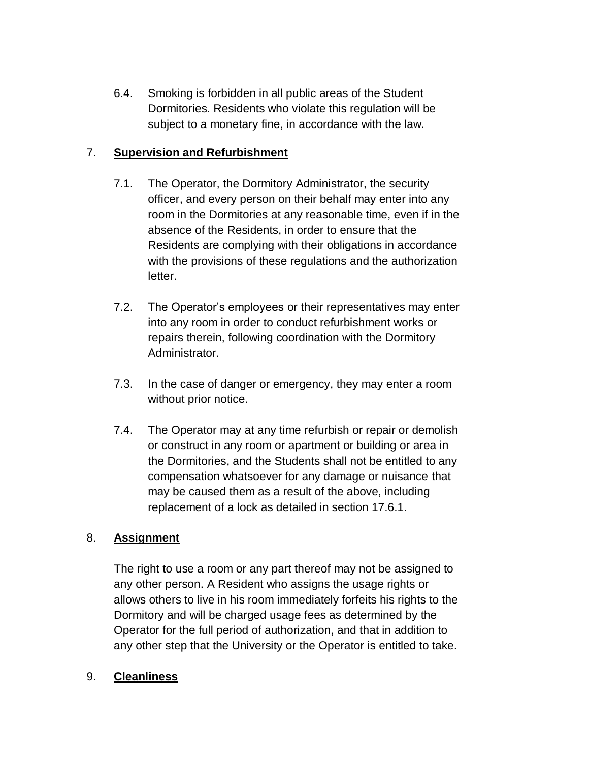6.4. Smoking is forbidden in all public areas of the Student Dormitories. Residents who violate this regulation will be subject to a monetary fine, in accordance with the law.

## 7. **Supervision and Refurbishment**

- 7.1. The Operator, the Dormitory Administrator, the security officer, and every person on their behalf may enter into any room in the Dormitories at any reasonable time, even if in the absence of the Residents, in order to ensure that the Residents are complying with their obligations in accordance with the provisions of these regulations and the authorization letter.
- 7.2. The Operator's employees or their representatives may enter into any room in order to conduct refurbishment works or repairs therein, following coordination with the Dormitory Administrator.
- 7.3. In the case of danger or emergency, they may enter a room without prior notice.
- 7.4. The Operator may at any time refurbish or repair or demolish or construct in any room or apartment or building or area in the Dormitories, and the Students shall not be entitled to any compensation whatsoever for any damage or nuisance that may be caused them as a result of the above, including replacement of a lock as detailed in section 17.6.1.

## 8. **Assignment**

The right to use a room or any part thereof may not be assigned to any other person. A Resident who assigns the usage rights or allows others to live in his room immediately forfeits his rights to the Dormitory and will be charged usage fees as determined by the Operator for the full period of authorization, and that in addition to any other step that the University or the Operator is entitled to take.

## 9. **Cleanliness**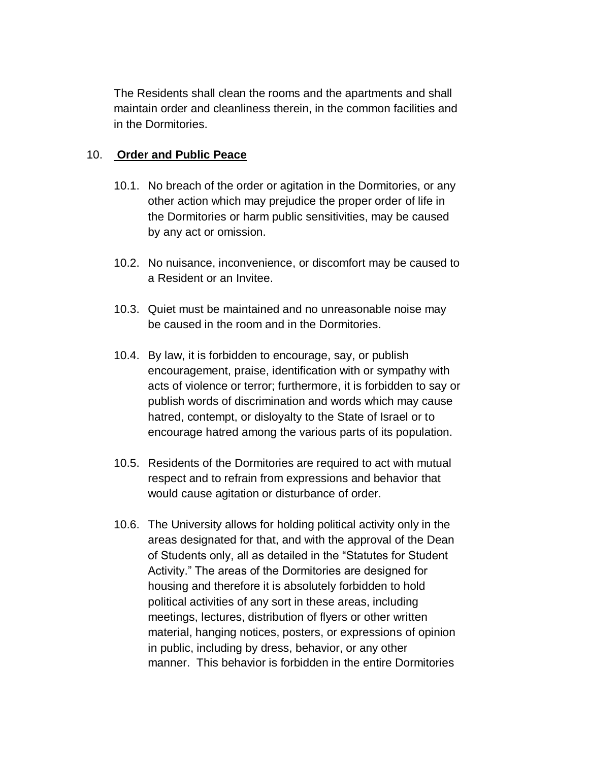The Residents shall clean the rooms and the apartments and shall maintain order and cleanliness therein, in the common facilities and in the Dormitories.

### 10. **Order and Public Peace**

- 10.1. No breach of the order or agitation in the Dormitories, or any other action which may prejudice the proper order of life in the Dormitories or harm public sensitivities, may be caused by any act or omission.
- 10.2. No nuisance, inconvenience, or discomfort may be caused to a Resident or an Invitee.
- 10.3. Quiet must be maintained and no unreasonable noise may be caused in the room and in the Dormitories.
- 10.4. By law, it is forbidden to encourage, say, or publish encouragement, praise, identification with or sympathy with acts of violence or terror; furthermore, it is forbidden to say or publish words of discrimination and words which may cause hatred, contempt, or disloyalty to the State of Israel or to encourage hatred among the various parts of its population.
- 10.5. Residents of the Dormitories are required to act with mutual respect and to refrain from expressions and behavior that would cause agitation or disturbance of order.
- 10.6. The University allows for holding political activity only in the areas designated for that, and with the approval of the Dean of Students only, all as detailed in the "Statutes for Student Activity." The areas of the Dormitories are designed for housing and therefore it is absolutely forbidden to hold political activities of any sort in these areas, including meetings, lectures, distribution of flyers or other written material, hanging notices, posters, or expressions of opinion in public, including by dress, behavior, or any other manner. This behavior is forbidden in the entire Dormitories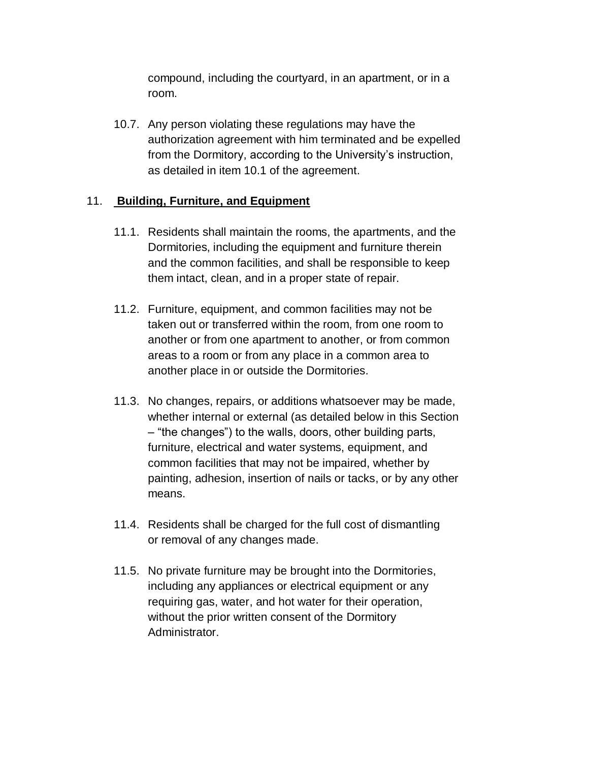compound, including the courtyard, in an apartment, or in a room.

10.7. Any person violating these regulations may have the authorization agreement with him terminated and be expelled from the Dormitory, according to the University's instruction, as detailed in item 10.1 of the agreement.

#### 11. **Building, Furniture, and Equipment**

- 11.1. Residents shall maintain the rooms, the apartments, and the Dormitories, including the equipment and furniture therein and the common facilities, and shall be responsible to keep them intact, clean, and in a proper state of repair.
- 11.2. Furniture, equipment, and common facilities may not be taken out or transferred within the room, from one room to another or from one apartment to another, or from common areas to a room or from any place in a common area to another place in or outside the Dormitories.
- 11.3. No changes, repairs, or additions whatsoever may be made, whether internal or external (as detailed below in this Section – "the changes") to the walls, doors, other building parts, furniture, electrical and water systems, equipment, and common facilities that may not be impaired, whether by painting, adhesion, insertion of nails or tacks, or by any other means.
- 11.4. Residents shall be charged for the full cost of dismantling or removal of any changes made.
- 11.5. No private furniture may be brought into the Dormitories, including any appliances or electrical equipment or any requiring gas, water, and hot water for their operation, without the prior written consent of the Dormitory Administrator.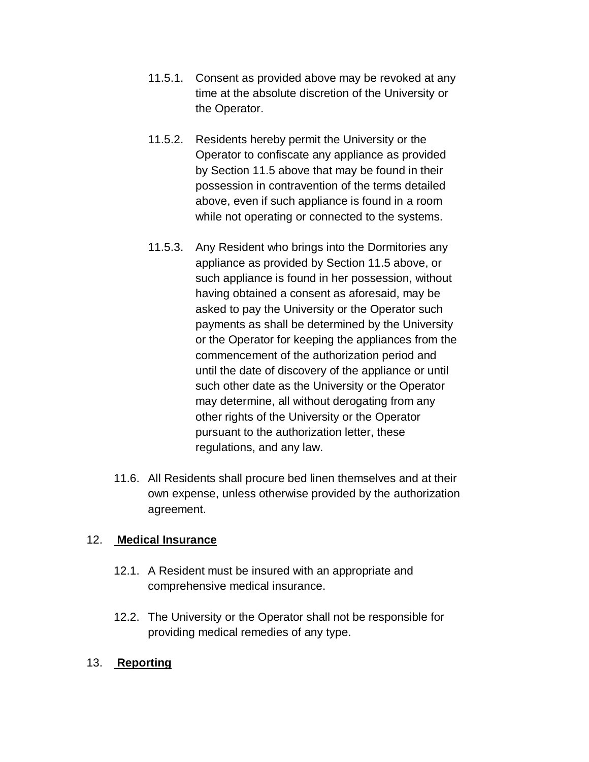- 11.5.1. Consent as provided above may be revoked at any time at the absolute discretion of the University or the Operator.
- 11.5.2. Residents hereby permit the University or the Operator to confiscate any appliance as provided by Section 11.5 above that may be found in their possession in contravention of the terms detailed above, even if such appliance is found in a room while not operating or connected to the systems.
- 11.5.3. Any Resident who brings into the Dormitories any appliance as provided by Section 11.5 above, or such appliance is found in her possession, without having obtained a consent as aforesaid, may be asked to pay the University or the Operator such payments as shall be determined by the University or the Operator for keeping the appliances from the commencement of the authorization period and until the date of discovery of the appliance or until such other date as the University or the Operator may determine, all without derogating from any other rights of the University or the Operator pursuant to the authorization letter, these regulations, and any law.
- 11.6. All Residents shall procure bed linen themselves and at their own expense, unless otherwise provided by the authorization agreement.

#### 12. **Medical Insurance**

- 12.1. A Resident must be insured with an appropriate and comprehensive medical insurance.
- 12.2. The University or the Operator shall not be responsible for providing medical remedies of any type.
- 13. **Reporting**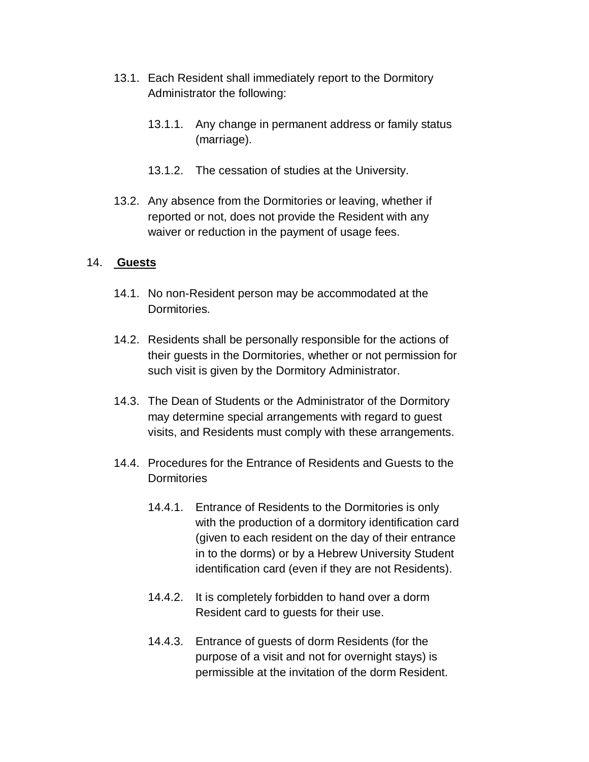- 13.1. Each Resident shall immediately report to the Dormitory Administrator the following:
	- 13.1.1. Any change in permanent address or family status (marriage).
	- 13.1.2. The cessation of studies at the University.
- 13.2. Any absence from the Dormitories or leaving, whether if reported or not, does not provide the Resident with any waiver or reduction in the payment of usage fees.

#### 14. **Guests**

- 14.1. No non-Resident person may be accommodated at the Dormitories.
- 14.2. Residents shall be personally responsible for the actions of their guests in the Dormitories, whether or not permission for such visit is given by the Dormitory Administrator.
- 14.3. The Dean of Students or the Administrator of the Dormitory may determine special arrangements with regard to guest visits, and Residents must comply with these arrangements.
- 14.4. Procedures for the Entrance of Residents and Guests to the **Dormitories** 
	- 14.4.1. Entrance of Residents to the Dormitories is only with the production of a dormitory identification card (given to each resident on the day of their entrance in to the dorms) or by a Hebrew University Student identification card (even if they are not Residents).
	- 14.4.2. It is completely forbidden to hand over a dorm Resident card to guests for their use.
	- 14.4.3. Entrance of guests of dorm Residents (for the purpose of a visit and not for overnight stays) is permissible at the invitation of the dorm Resident.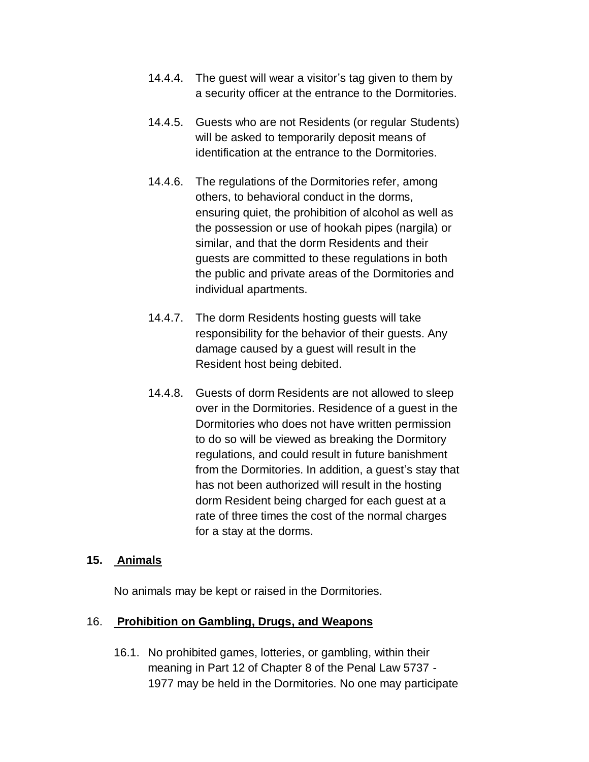- 14.4.4. The guest will wear a visitor's tag given to them by a security officer at the entrance to the Dormitories.
- 14.4.5. Guests who are not Residents (or regular Students) will be asked to temporarily deposit means of identification at the entrance to the Dormitories.
- 14.4.6. The regulations of the Dormitories refer, among others, to behavioral conduct in the dorms, ensuring quiet, the prohibition of alcohol as well as the possession or use of hookah pipes (nargila) or similar, and that the dorm Residents and their guests are committed to these regulations in both the public and private areas of the Dormitories and individual apartments.
- 14.4.7. The dorm Residents hosting guests will take responsibility for the behavior of their guests. Any damage caused by a guest will result in the Resident host being debited.
- 14.4.8. Guests of dorm Residents are not allowed to sleep over in the Dormitories. Residence of a guest in the Dormitories who does not have written permission to do so will be viewed as breaking the Dormitory regulations, and could result in future banishment from the Dormitories. In addition, a guest's stay that has not been authorized will result in the hosting dorm Resident being charged for each guest at a rate of three times the cost of the normal charges for a stay at the dorms.

#### **15. Animals**

No animals may be kept or raised in the Dormitories.

#### 16. **Prohibition on Gambling, Drugs, and Weapons**

16.1. No prohibited games, lotteries, or gambling, within their meaning in Part 12 of Chapter 8 of the Penal Law 5737 - 1977 may be held in the Dormitories. No one may participate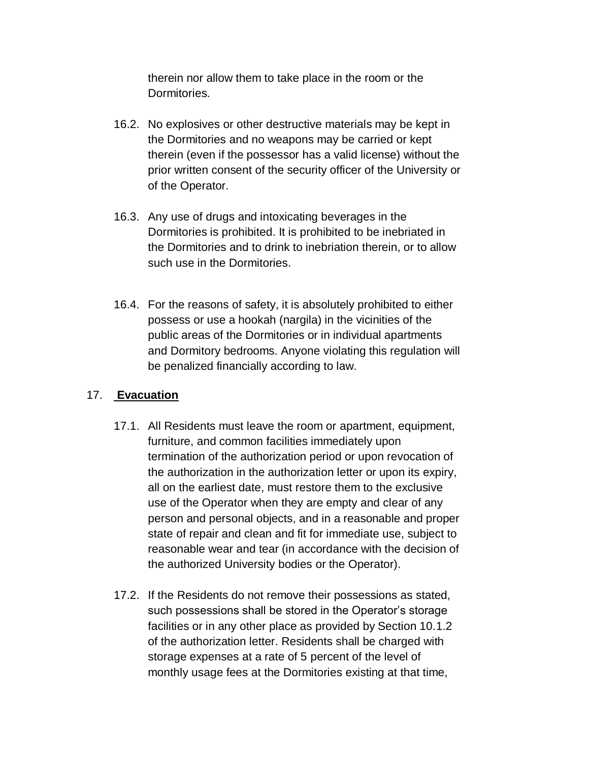therein nor allow them to take place in the room or the Dormitories.

- 16.2. No explosives or other destructive materials may be kept in the Dormitories and no weapons may be carried or kept therein (even if the possessor has a valid license) without the prior written consent of the security officer of the University or of the Operator.
- 16.3. Any use of drugs and intoxicating beverages in the Dormitories is prohibited. It is prohibited to be inebriated in the Dormitories and to drink to inebriation therein, or to allow such use in the Dormitories.
- 16.4. For the reasons of safety, it is absolutely prohibited to either possess or use a hookah (nargila) in the vicinities of the public areas of the Dormitories or in individual apartments and Dormitory bedrooms. Anyone violating this regulation will be penalized financially according to law.

#### 17. **Evacuation**

- 17.1. All Residents must leave the room or apartment, equipment, furniture, and common facilities immediately upon termination of the authorization period or upon revocation of the authorization in the authorization letter or upon its expiry, all on the earliest date, must restore them to the exclusive use of the Operator when they are empty and clear of any person and personal objects, and in a reasonable and proper state of repair and clean and fit for immediate use, subject to reasonable wear and tear (in accordance with the decision of the authorized University bodies or the Operator).
- 17.2. If the Residents do not remove their possessions as stated, such possessions shall be stored in the Operator's storage facilities or in any other place as provided by Section 10.1.2 of the authorization letter. Residents shall be charged with storage expenses at a rate of 5 percent of the level of monthly usage fees at the Dormitories existing at that time,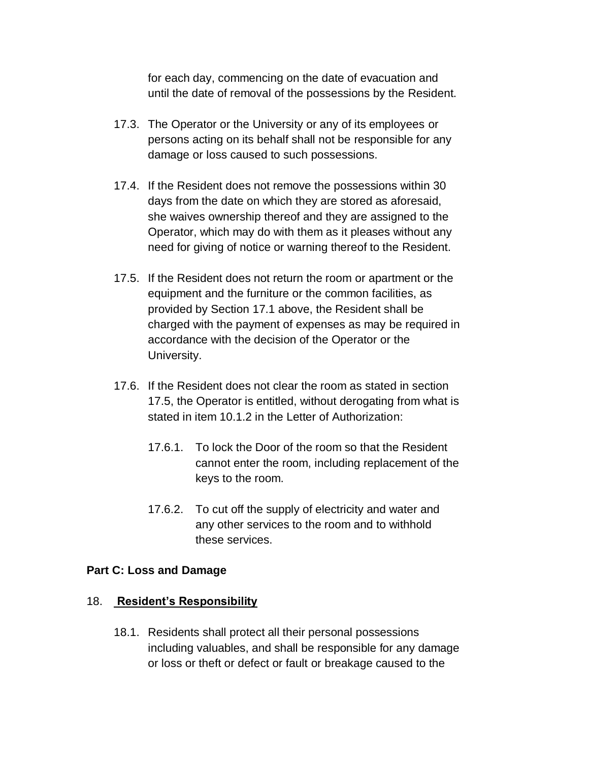for each day, commencing on the date of evacuation and until the date of removal of the possessions by the Resident.

- 17.3. The Operator or the University or any of its employees or persons acting on its behalf shall not be responsible for any damage or loss caused to such possessions.
- 17.4. If the Resident does not remove the possessions within 30 days from the date on which they are stored as aforesaid, she waives ownership thereof and they are assigned to the Operator, which may do with them as it pleases without any need for giving of notice or warning thereof to the Resident.
- 17.5. If the Resident does not return the room or apartment or the equipment and the furniture or the common facilities, as provided by Section 17.1 above, the Resident shall be charged with the payment of expenses as may be required in accordance with the decision of the Operator or the University.
- 17.6. If the Resident does not clear the room as stated in section 17.5, the Operator is entitled, without derogating from what is stated in item 10.1.2 in the Letter of Authorization:
	- 17.6.1. To lock the Door of the room so that the Resident cannot enter the room, including replacement of the keys to the room.
	- 17.6.2. To cut off the supply of electricity and water and any other services to the room and to withhold these services.

#### **Part C: Loss and Damage**

#### 18. **Resident's Responsibility**

18.1. Residents shall protect all their personal possessions including valuables, and shall be responsible for any damage or loss or theft or defect or fault or breakage caused to the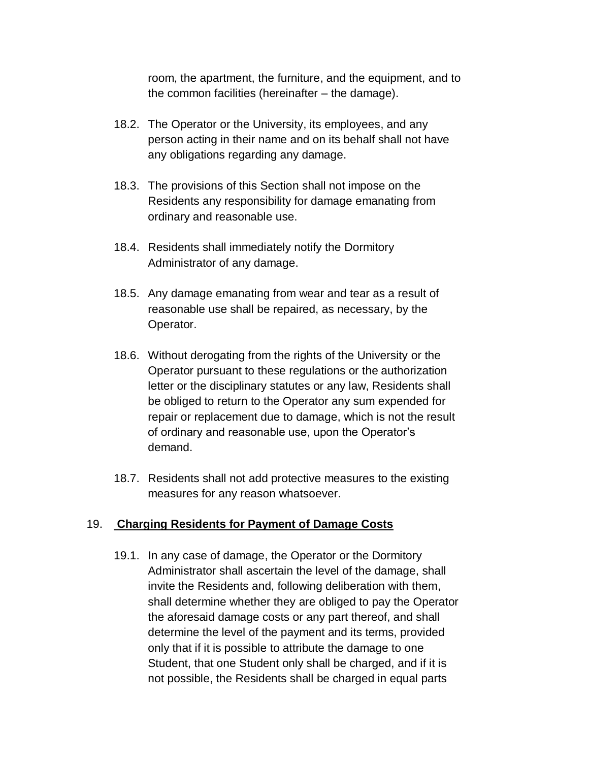room, the apartment, the furniture, and the equipment, and to the common facilities (hereinafter – the damage).

- 18.2. The Operator or the University, its employees, and any person acting in their name and on its behalf shall not have any obligations regarding any damage.
- 18.3. The provisions of this Section shall not impose on the Residents any responsibility for damage emanating from ordinary and reasonable use.
- 18.4. Residents shall immediately notify the Dormitory Administrator of any damage.
- 18.5. Any damage emanating from wear and tear as a result of reasonable use shall be repaired, as necessary, by the Operator.
- 18.6. Without derogating from the rights of the University or the Operator pursuant to these regulations or the authorization letter or the disciplinary statutes or any law, Residents shall be obliged to return to the Operator any sum expended for repair or replacement due to damage, which is not the result of ordinary and reasonable use, upon the Operator's demand.
- 18.7. Residents shall not add protective measures to the existing measures for any reason whatsoever.

#### 19. **Charging Residents for Payment of Damage Costs**

19.1. In any case of damage, the Operator or the Dormitory Administrator shall ascertain the level of the damage, shall invite the Residents and, following deliberation with them, shall determine whether they are obliged to pay the Operator the aforesaid damage costs or any part thereof, and shall determine the level of the payment and its terms, provided only that if it is possible to attribute the damage to one Student, that one Student only shall be charged, and if it is not possible, the Residents shall be charged in equal parts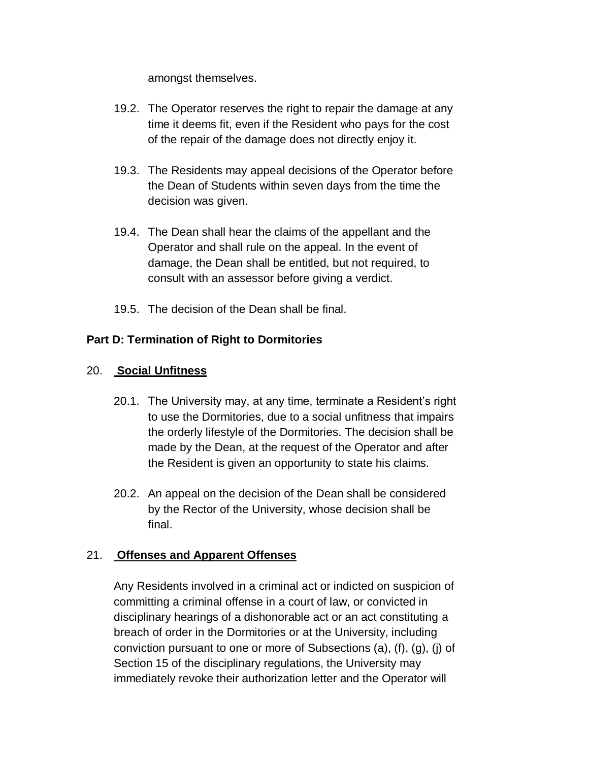amongst themselves.

- 19.2. The Operator reserves the right to repair the damage at any time it deems fit, even if the Resident who pays for the cost of the repair of the damage does not directly enjoy it.
- 19.3. The Residents may appeal decisions of the Operator before the Dean of Students within seven days from the time the decision was given.
- 19.4. The Dean shall hear the claims of the appellant and the Operator and shall rule on the appeal. In the event of damage, the Dean shall be entitled, but not required, to consult with an assessor before giving a verdict.
- 19.5. The decision of the Dean shall be final.

## **Part D: Termination of Right to Dormitories**

## 20. **Social Unfitness**

- 20.1. The University may, at any time, terminate a Resident's right to use the Dormitories, due to a social unfitness that impairs the orderly lifestyle of the Dormitories. The decision shall be made by the Dean, at the request of the Operator and after the Resident is given an opportunity to state his claims.
- 20.2. An appeal on the decision of the Dean shall be considered by the Rector of the University, whose decision shall be final.

## 21. **Offenses and Apparent Offenses**

Any Residents involved in a criminal act or indicted on suspicion of committing a criminal offense in a court of law, or convicted in disciplinary hearings of a dishonorable act or an act constituting a breach of order in the Dormitories or at the University, including conviction pursuant to one or more of Subsections (a), (f), (g), (j) of Section 15 of the disciplinary regulations, the University may immediately revoke their authorization letter and the Operator will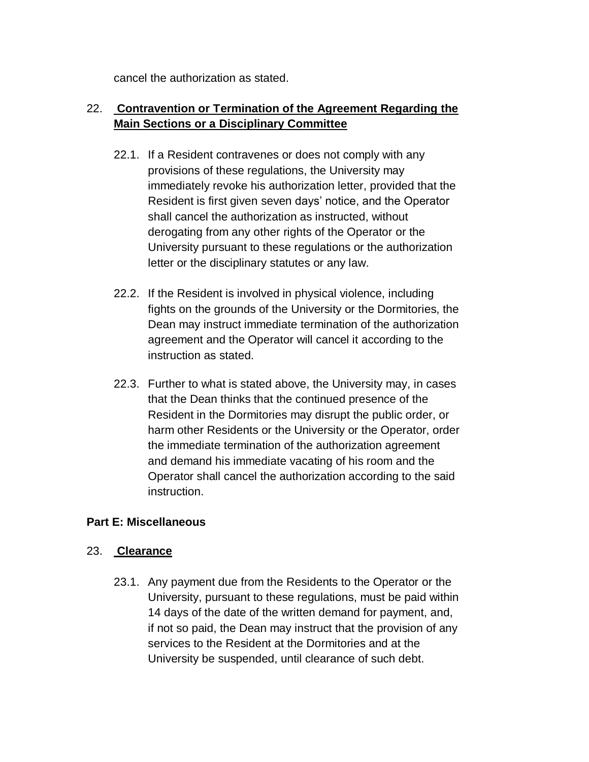cancel the authorization as stated.

# 22. **Contravention or Termination of the Agreement Regarding the Main Sections or a Disciplinary Committee**

- 22.1. If a Resident contravenes or does not comply with any provisions of these regulations, the University may immediately revoke his authorization letter, provided that the Resident is first given seven days' notice, and the Operator shall cancel the authorization as instructed, without derogating from any other rights of the Operator or the University pursuant to these regulations or the authorization letter or the disciplinary statutes or any law.
- 22.2. If the Resident is involved in physical violence, including fights on the grounds of the University or the Dormitories, the Dean may instruct immediate termination of the authorization agreement and the Operator will cancel it according to the instruction as stated.
- 22.3. Further to what is stated above, the University may, in cases that the Dean thinks that the continued presence of the Resident in the Dormitories may disrupt the public order, or harm other Residents or the University or the Operator, order the immediate termination of the authorization agreement and demand his immediate vacating of his room and the Operator shall cancel the authorization according to the said instruction.

## **Part E: Miscellaneous**

## 23. **Clearance**

23.1. Any payment due from the Residents to the Operator or the University, pursuant to these regulations, must be paid within 14 days of the date of the written demand for payment, and, if not so paid, the Dean may instruct that the provision of any services to the Resident at the Dormitories and at the University be suspended, until clearance of such debt.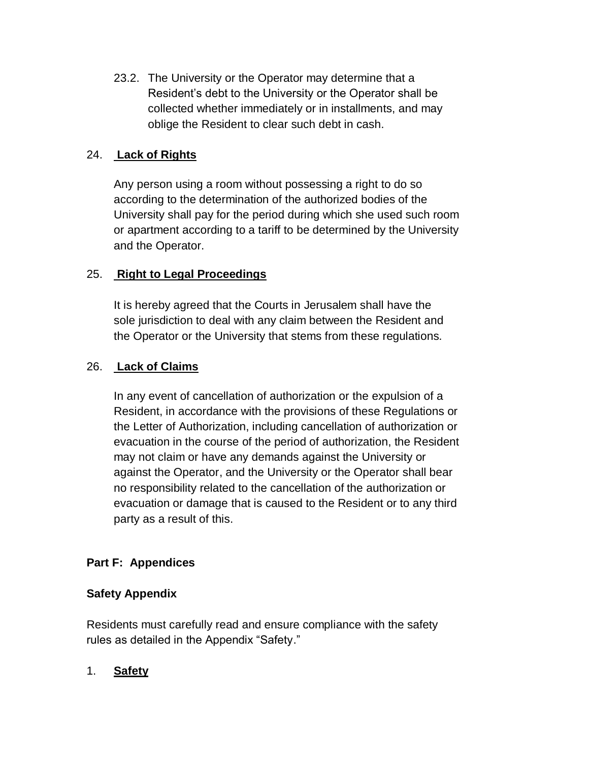23.2. The University or the Operator may determine that a Resident's debt to the University or the Operator shall be collected whether immediately or in installments, and may oblige the Resident to clear such debt in cash.

## 24. **Lack of Rights**

Any person using a room without possessing a right to do so according to the determination of the authorized bodies of the University shall pay for the period during which she used such room or apartment according to a tariff to be determined by the University and the Operator.

## 25. **Right to Legal Proceedings**

It is hereby agreed that the Courts in Jerusalem shall have the sole jurisdiction to deal with any claim between the Resident and the Operator or the University that stems from these regulations.

## 26. **Lack of Claims**

In any event of cancellation of authorization or the expulsion of a Resident, in accordance with the provisions of these Regulations or the Letter of Authorization, including cancellation of authorization or evacuation in the course of the period of authorization, the Resident may not claim or have any demands against the University or against the Operator, and the University or the Operator shall bear no responsibility related to the cancellation of the authorization or evacuation or damage that is caused to the Resident or to any third party as a result of this.

# **Part F: Appendices**

## **Safety Appendix**

Residents must carefully read and ensure compliance with the safety rules as detailed in the Appendix "Safety."

## 1. **Safety**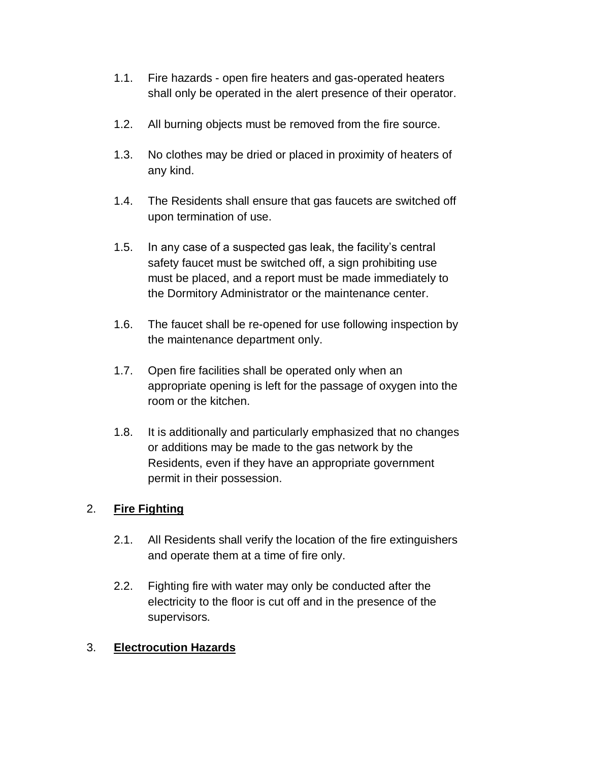- 1.1. Fire hazards open fire heaters and gas-operated heaters shall only be operated in the alert presence of their operator.
- 1.2. All burning objects must be removed from the fire source.
- 1.3. No clothes may be dried or placed in proximity of heaters of any kind.
- 1.4. The Residents shall ensure that gas faucets are switched off upon termination of use.
- 1.5. In any case of a suspected gas leak, the facility's central safety faucet must be switched off, a sign prohibiting use must be placed, and a report must be made immediately to the Dormitory Administrator or the maintenance center.
- 1.6. The faucet shall be re-opened for use following inspection by the maintenance department only.
- 1.7. Open fire facilities shall be operated only when an appropriate opening is left for the passage of oxygen into the room or the kitchen.
- 1.8. It is additionally and particularly emphasized that no changes or additions may be made to the gas network by the Residents, even if they have an appropriate government permit in their possession.

## 2. **Fire Fighting**

- 2.1. All Residents shall verify the location of the fire extinguishers and operate them at a time of fire only.
- 2.2. Fighting fire with water may only be conducted after the electricity to the floor is cut off and in the presence of the supervisors.

## 3. **Electrocution Hazards**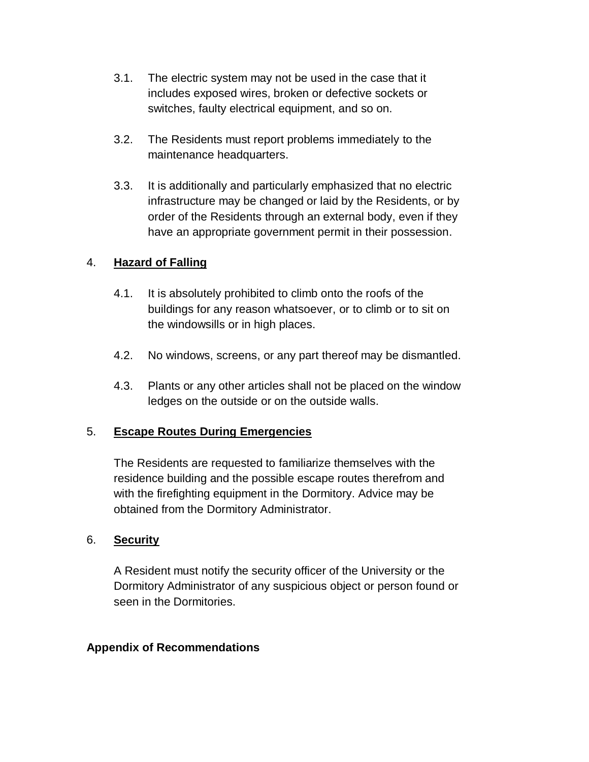- 3.1. The electric system may not be used in the case that it includes exposed wires, broken or defective sockets or switches, faulty electrical equipment, and so on.
- 3.2. The Residents must report problems immediately to the maintenance headquarters.
- 3.3. It is additionally and particularly emphasized that no electric infrastructure may be changed or laid by the Residents, or by order of the Residents through an external body, even if they have an appropriate government permit in their possession.

## 4. **Hazard of Falling**

- 4.1. It is absolutely prohibited to climb onto the roofs of the buildings for any reason whatsoever, or to climb or to sit on the windowsills or in high places.
- 4.2. No windows, screens, or any part thereof may be dismantled.
- 4.3. Plants or any other articles shall not be placed on the window ledges on the outside or on the outside walls.

#### 5. **Escape Routes During Emergencies**

The Residents are requested to familiarize themselves with the residence building and the possible escape routes therefrom and with the firefighting equipment in the Dormitory. Advice may be obtained from the Dormitory Administrator.

#### 6. **Security**

A Resident must notify the security officer of the University or the Dormitory Administrator of any suspicious object or person found or seen in the Dormitories.

#### **Appendix of Recommendations**